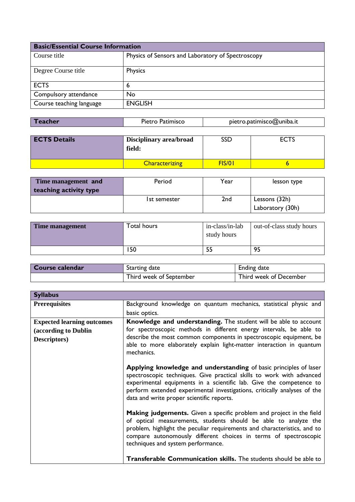| <b>Basic/Essential Course Information</b> |                                                   |  |
|-------------------------------------------|---------------------------------------------------|--|
| Course title                              | Physics of Sensors and Laboratory of Spectroscopy |  |
| Degree Course title                       | Physics                                           |  |
| <b>ECTS</b>                               | 6                                                 |  |
| Compulsory attendance                     | No                                                |  |
| Course teaching language                  | <b>ENGLISH</b>                                    |  |

| pietro.patimisco@uniba.it<br>Pietro Patimisco<br>Teacher |
|----------------------------------------------------------|
|----------------------------------------------------------|

| <b>ECTS Details</b> | <b>Disciplinary area/broad</b><br>field: | SSD    | <b>ECTS</b> |
|---------------------|------------------------------------------|--------|-------------|
|                     | <b>Characterizing</b>                    | FIS/01 |             |

| Time management and    | Period       | Year | lesson type      |
|------------------------|--------------|------|------------------|
| teaching activity type |              |      |                  |
|                        | Ist semester | 2nd  | Lessons (32h)    |
|                        |              |      | Laboratory (30h) |

| Time management | Total hours | in-class/in-lab<br>study hours | out-of-class study hours |
|-----------------|-------------|--------------------------------|--------------------------|
|                 | l 50        |                                | 95                       |

| Course calendar | <b>Starting date</b>    | Ending date            |
|-----------------|-------------------------|------------------------|
|                 | Third week of September | Third week of December |

| <b>Syllabus</b>                   |                                                                                                                                                                                                                                                                                                                                            |
|-----------------------------------|--------------------------------------------------------------------------------------------------------------------------------------------------------------------------------------------------------------------------------------------------------------------------------------------------------------------------------------------|
| <b>Prerequisites</b>              | Background knowledge on quantum mechanics, statistical physic and                                                                                                                                                                                                                                                                          |
|                                   | basic optics.                                                                                                                                                                                                                                                                                                                              |
| <b>Expected learning outcomes</b> | Knowledge and understanding. The student will be able to account                                                                                                                                                                                                                                                                           |
| (according to Dublin              | for spectroscopic methods in different energy intervals, be able to                                                                                                                                                                                                                                                                        |
| Descriptors)                      | describe the most common components in spectroscopic equipment, be<br>able to more elaborately explain light-matter interaction in quantum<br>mechanics.                                                                                                                                                                                   |
|                                   | Applying knowledge and understanding of basic principles of laser<br>spectroscopic techniques. Give practical skills to work with advanced<br>experimental equipments in a scientific lab. Give the competence to<br>perform extended experimental investigations, critically analyses of the<br>data and write proper scientific reports. |
|                                   | <b>Making judgements.</b> Given a specific problem and project in the field<br>of optical measurements, students should be able to analyze the<br>problem, highlight the peculiar requirements and characteristics, and to<br>compare autonomously different choices in terms of spectroscopic<br>techniques and system performance.       |
|                                   | <b>Transferable Communication skills.</b> The students should be able to                                                                                                                                                                                                                                                                   |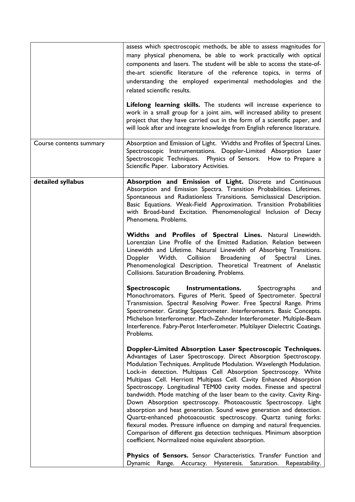|                         | assess which spectroscopic methods, be able to assess magnitudes for<br>many physical phenomena, be able to work practically with optical<br>components and lasers. The student will be able to access the state-of-<br>the-art scientific literature of the reference topics, in terms of<br>understanding the employed experimental methodologies and the<br>related scientific results.<br>Lifelong learning skills. The students will increase experience to<br>work in a small group for a joint aim, will increased ability to present<br>project that they have carried out in the form of a scientific paper, and<br>will look after and integrate knowledge from English reference literature.                                                                                                                                                                                                                     |
|-------------------------|-----------------------------------------------------------------------------------------------------------------------------------------------------------------------------------------------------------------------------------------------------------------------------------------------------------------------------------------------------------------------------------------------------------------------------------------------------------------------------------------------------------------------------------------------------------------------------------------------------------------------------------------------------------------------------------------------------------------------------------------------------------------------------------------------------------------------------------------------------------------------------------------------------------------------------|
|                         |                                                                                                                                                                                                                                                                                                                                                                                                                                                                                                                                                                                                                                                                                                                                                                                                                                                                                                                             |
| Course contents summary | Absorption and Emission of Light. Widths and Profiles of Spectral Lines.<br>Spectroscopic Instrumentations. Doppler-Limited Absorption Laser<br>Spectroscopic Techniques. Physics of Sensors. How to Prepare a<br>Scientific Paper. Laboratory Activities.                                                                                                                                                                                                                                                                                                                                                                                                                                                                                                                                                                                                                                                                  |
| detailed syllabus       | Absorption and Emission of Light. Discrete and Continuous<br>Absorption and Emission Spectra. Transition Probabilities. Lifetimes.<br>Spontaneous and Radiationless Transitions. Semiclassical Description.<br>Basic Equations. Weak-Field Approximation. Transition Probabilities<br>with Broad-band Excitation. Phenomenological Inclusion of Decay<br>Phenomena. Problems.                                                                                                                                                                                                                                                                                                                                                                                                                                                                                                                                               |
|                         | Widths and Profiles of Spectral Lines. Natural Linewidth.<br>Lorentzian Line Profile of the Emitted Radiation. Relation between<br>Linewidth and Lifetime. Natural Linewidth of Absorbing Transitions.<br>Collision Broadening of<br>Width.<br>Spectral<br>Doppler<br>Lines.<br>Phenomenological Description. Theoretical Treatment of Anelastic<br>Collisions. Saturation Broadening. Problems.                                                                                                                                                                                                                                                                                                                                                                                                                                                                                                                            |
|                         | <b>Spectroscopic</b><br>Instrumentations.<br>Spectrographs<br>and<br>Monochromators. Figures of Merit. Speed of Spectrometer. Spectral<br>Transmission. Spectral Resolving Power. Free Spectral Range. Prims<br>Spectrometer. Grating Spectrometer. Interferometers. Basic Concepts.<br>Michelson Interferometer. Mach-Zehnder Interferometer. Multiple-Beam<br>Interference. Fabry-Perot Interferometer. Multilayer Dielectric Coatings.<br>Problems.                                                                                                                                                                                                                                                                                                                                                                                                                                                                      |
|                         | Doppler-Limited Absorption Laser Spectroscopic Techniques.<br>Advantages of Laser Spectroscopy. Direct Absorption Spectroscopy.<br>Modulation Techniques. Amplitude Modulation. Wavelength Modulation.<br>Lock-in detection. Multipass Cell Absorption Spectroscopy. White<br>Multipass Cell. Herriott Multipass Cell. Cavity Enhanced Absorption<br>Spectroscopy. Longitudinal TEM00 cavity modes. Finesse and spectral<br>bandwidth. Mode matching of the laser beam to the cavity. Cavity Ring-<br>Down Absorption spectroscopy. Photoacoustic Spectroscopy. Light<br>absorption and heat generation. Sound wave generation and detection.<br>Quartz-enhanced photoacoustic spectroscopy. Quartz tuning forks:<br>flexural modes. Pressure influence on damping and natural frequencies.<br>Comparison of different gas detection techniques. Minimum absorption<br>coefficient. Normalized noise equivalent absorption. |
|                         | Physics of Sensors. Sensor Characteristics. Transfer Function and<br>Dynamic Range. Accuracy. Hysteresis. Saturation.<br>Repeatability.                                                                                                                                                                                                                                                                                                                                                                                                                                                                                                                                                                                                                                                                                                                                                                                     |